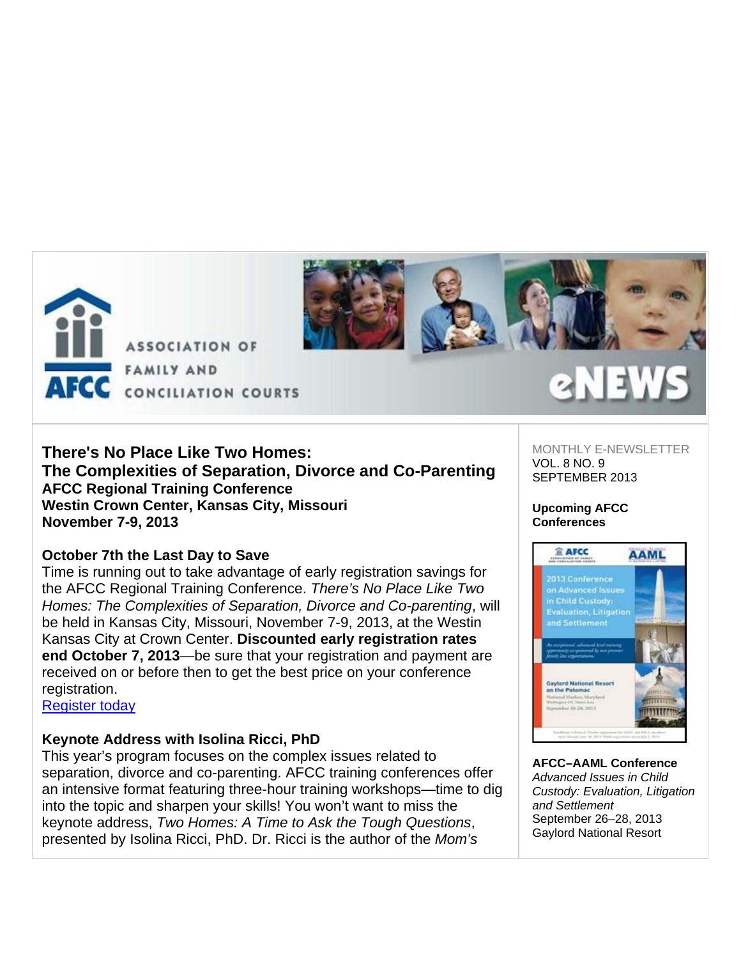

### **There's No Place Like Two Homes: The Complexities of Separation, Divorce and Co-Parenting AFCC Regional Training Conference Westin Crown Center, Kansas City, Missouri November 7-9, 2013**

### **October 7th the Last Day to Save**

Time is running out to take advantage of early registration savings for the AFCC Regional Training Conference. *There's No Place Like Two Homes: The Complexities of Separation, Divorce and Co-parenting*, will be held in Kansas City, Missouri, November 7-9, 2013, at the Westin Kansas City at Crown Center. **Discounted early registration rates end October 7, 2013**—be sure that your registration and payment are received on or before then to get the best price on your conference registration.

Register today

# **Keynote Address with Isolina Ricci, PhD**

This year's program focuses on the complex issues related to separation, divorce and co-parenting. AFCC training conferences offer an intensive format featuring three-hour training workshops—time to dig into the topic and sharpen your skills! You won't want to miss the keynote address, *Two Homes: A Time to Ask the Tough Questions*, presented by Isolina Ricci, PhD. Dr. Ricci is the author of the *Mom's* 

MONTHLY E-NEWSLETTER VOL. 8 NO. 9 SEPTEMBER 2013

#### **Upcoming AFCC Conferences**



**AFCC–AAML Conference** *Advanced Issues in Child Custody: Evaluation, Litigation and Settlement* September 26–28, 2013 Gaylord National Resort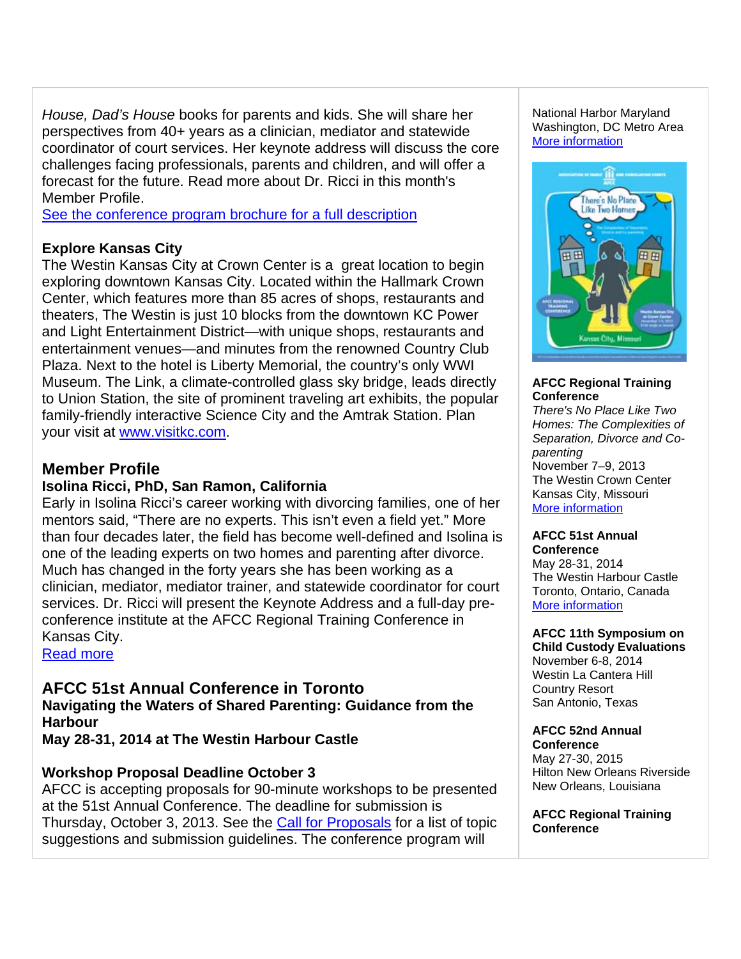*House, Dad's House* books for parents and kids. She will share her perspectives from 40+ years as a clinician, mediator and statewide coordinator of court services. Her keynote address will discuss the core challenges facing professionals, parents and children, and will offer a forecast for the future. Read more about Dr. Ricci in this month's Member Profile.

See the conference program brochure for a full description

### **Explore Kansas City**

The Westin Kansas City at Crown Center is a great location to begin exploring downtown Kansas City. Located within the Hallmark Crown Center, which features more than 85 acres of shops, restaurants and theaters, The Westin is just 10 blocks from the downtown KC Power and Light Entertainment District—with unique shops, restaurants and entertainment venues—and minutes from the renowned Country Club Plaza. Next to the hotel is Liberty Memorial, the country's only WWI Museum. The Link, a climate-controlled glass sky bridge, leads directly to Union Station, the site of prominent traveling art exhibits, the popular family-friendly interactive Science City and the Amtrak Station. Plan your visit at www.visitkc.com.

# **Member Profile**

### **Isolina Ricci, PhD, San Ramon, California**

Early in Isolina Ricci's career working with divorcing families, one of her mentors said, "There are no experts. This isn't even a field yet." More than four decades later, the field has become well-defined and Isolina is one of the leading experts on two homes and parenting after divorce. Much has changed in the forty years she has been working as a clinician, mediator, mediator trainer, and statewide coordinator for court services. Dr. Ricci will present the Keynote Address and a full-day preconference institute at the AFCC Regional Training Conference in Kansas City.

Read more

**AFCC 51st Annual Conference in Toronto Navigating the Waters of Shared Parenting: Guidance from the Harbour**

**May 28-31, 2014 at The Westin Harbour Castle**

### **Workshop Proposal Deadline October 3**

AFCC is accepting proposals for 90-minute workshops to be presented at the 51st Annual Conference. The deadline for submission is Thursday, October 3, 2013. See the Call for Proposals for a list of topic suggestions and submission guidelines. The conference program will

National Harbor Maryland Washington, DC Metro Area More information



### **AFCC Regional Training Conference**

*There's No Place Like Two Homes: The Complexities of Separation, Divorce and Coparenting*  November 7–9, 2013 The Westin Crown Center Kansas City, Missouri More information

#### **AFCC 51st Annual Conference**

May 28-31, 2014 The Westin Harbour Castle Toronto, Ontario, Canada More information

#### **AFCC 11th Symposium on Child Custody Evaluations**

November 6-8, 2014 Westin La Cantera Hill Country Resort San Antonio, Texas

# **AFCC 52nd Annual**

**Conference** May 27-30, 2015 Hilton New Orleans Riverside New Orleans, Louisiana

**AFCC Regional Training Conference**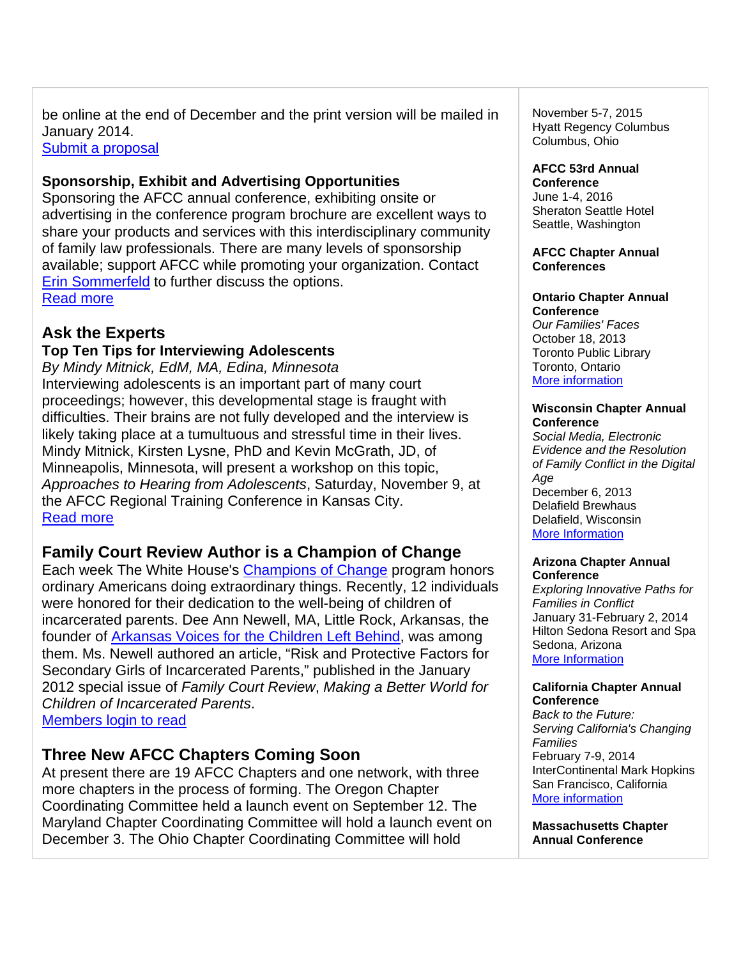be online at the end of December and the print version will be mailed in January 2014.

Submit a proposal

### **Sponsorship, Exhibit and Advertising Opportunities**

Sponsoring the AFCC annual conference, exhibiting onsite or advertising in the conference program brochure are excellent ways to share your products and services with this interdisciplinary community of family law professionals. There are many levels of sponsorship available; support AFCC while promoting your organization. Contact Erin Sommerfeld to further discuss the options. Read more

### **Ask the Experts**

### **Top Ten Tips for Interviewing Adolescents**

*By Mindy Mitnick, EdM, MA, Edina, Minnesota* Interviewing adolescents is an important part of many court proceedings; however, this developmental stage is fraught with difficulties. Their brains are not fully developed and the interview is likely taking place at a tumultuous and stressful time in their lives. Mindy Mitnick, Kirsten Lysne, PhD and Kevin McGrath, JD, of Minneapolis, Minnesota, will present a workshop on this topic, *Approaches to Hearing from Adolescents*, Saturday, November 9, at the AFCC Regional Training Conference in Kansas City. Read more

### **Family Court Review Author is a Champion of Change**

Each week The White House's Champions of Change program honors ordinary Americans doing extraordinary things. Recently, 12 individuals were honored for their dedication to the well-being of children of incarcerated parents. Dee Ann Newell, MA, Little Rock, Arkansas, the founder of Arkansas Voices for the Children Left Behind, was among them. Ms. Newell authored an article, "Risk and Protective Factors for Secondary Girls of Incarcerated Parents," published in the January 2012 special issue of *Family Court Review*, *Making a Better World for Children of Incarcerated Parents*. Members login to read

### **Three New AFCC Chapters Coming Soon**

At present there are 19 AFCC Chapters and one network, with three more chapters in the process of forming. The Oregon Chapter Coordinating Committee held a launch event on September 12. The Maryland Chapter Coordinating Committee will hold a launch event on December 3. The Ohio Chapter Coordinating Committee will hold

November 5-7, 2015 Hyatt Regency Columbus Columbus, Ohio

### **AFCC 53rd Annual**

**Conference** June 1-4, 2016 Sheraton Seattle Hotel Seattle, Washington

#### **AFCC Chapter Annual Conferences**

#### **Ontario Chapter Annual Conference**

*Our Families' Faces*  October 18, 2013 Toronto Public Library Toronto, Ontario More information

#### **Wisconsin Chapter Annual Conference**

*Social Media, Electronic Evidence and the Resolution of Family Conflict in the Digital Age* December 6, 2013

Delafield Brewhaus Delafield, Wisconsin More Information

#### **Arizona Chapter Annual Conference**

*Exploring Innovative Paths for Families in Conflict* January 31-February 2, 2014 Hilton Sedona Resort and Spa Sedona, Arizona More Information

#### **California Chapter Annual Conference**

*Back to the Future: Serving California's Changing Families* February 7-9, 2014 InterContinental Mark Hopkins San Francisco, California More information

**Massachusetts Chapter Annual Conference**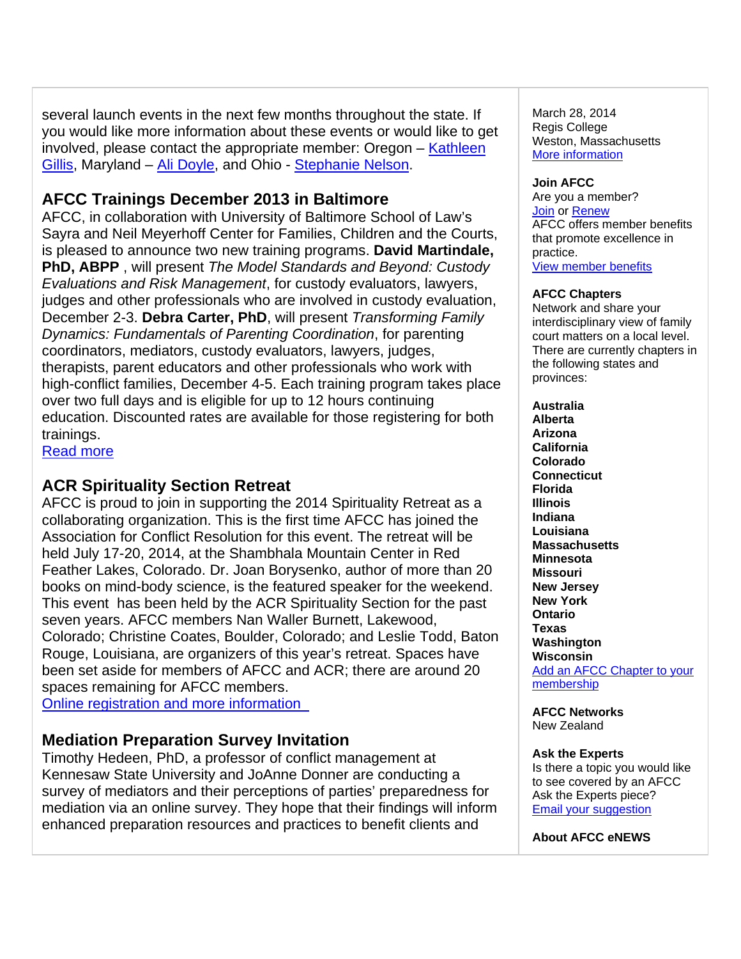several launch events in the next few months throughout the state. If you would like more information about these events or would like to get involved, please contact the appropriate member: Oregon – Kathleen Gillis, Maryland – Ali Doyle, and Ohio - Stephanie Nelson.

## **AFCC Trainings December 2013 in Baltimore**

AFCC, in collaboration with University of Baltimore School of Law's Sayra and Neil Meyerhoff Center for Families, Children and the Courts, is pleased to announce two new training programs. **David Martindale, PhD, ABPP** , will present *The Model Standards and Beyond: Custody Evaluations and Risk Management*, for custody evaluators, lawyers, judges and other professionals who are involved in custody evaluation, December 2-3. **Debra Carter, PhD**, will present *Transforming Family Dynamics: Fundamentals of Parenting Coordination*, for parenting coordinators, mediators, custody evaluators, lawyers, judges, therapists, parent educators and other professionals who work with high-conflict families, December 4-5. Each training program takes place over two full days and is eligible for up to 12 hours continuing education. Discounted rates are available for those registering for both trainings.

Read more

# **ACR Spirituality Section Retreat**

AFCC is proud to join in supporting the 2014 Spirituality Retreat as a collaborating organization. This is the first time AFCC has joined the Association for Conflict Resolution for this event. The retreat will be held July 17-20, 2014, at the Shambhala Mountain Center in Red Feather Lakes, Colorado. Dr. Joan Borysenko, author of more than 20 books on mind-body science, is the featured speaker for the weekend. This event has been held by the ACR Spirituality Section for the past seven years. AFCC members Nan Waller Burnett, Lakewood, Colorado; Christine Coates, Boulder, Colorado; and Leslie Todd, Baton Rouge, Louisiana, are organizers of this year's retreat. Spaces have been set aside for members of AFCC and ACR; there are around 20 spaces remaining for AFCC members.

Online registration and more information

### **Mediation Preparation Survey Invitation**

Timothy Hedeen, PhD, a professor of conflict management at Kennesaw State University and JoAnne Donner are conducting a survey of mediators and their perceptions of parties' preparedness for mediation via an online survey. They hope that their findings will inform enhanced preparation resources and practices to benefit clients and

March 28, 2014 Regis College Weston, Massachusetts More information

### **Join AFCC**

Are you a member? Join or Renew AFCC offers member benefits that promote excellence in practice. View member benefits

### **AFCC Chapters**

Network and share your interdisciplinary view of family court matters on a local level. There are currently chapters in the following states and provinces:

**Australia Alberta Arizona California Colorado Connecticut Florida Illinois Indiana Louisiana Massachusetts Minnesota Missouri New Jersey New York Ontario Texas Washington Wisconsin**  Add an AFCC Chapter to your membership

**AFCC Networks**  New Zealand

#### **Ask the Experts**

Is there a topic you would like to see covered by an AFCC Ask the Experts piece? Email your suggestion

**About AFCC eNEWS**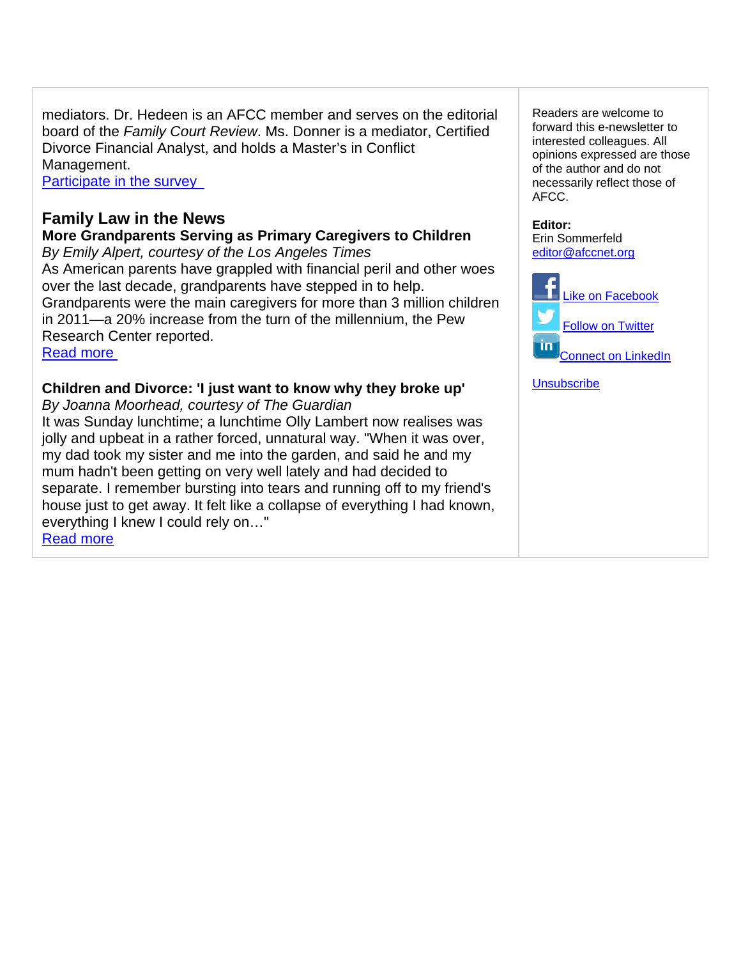mediators. Dr. Hedeen is an AFCC member and serves on the editorial board of the *Family Court Review*. Ms. Donner is a mediator, Certified Divorce Financial Analyst, and holds a Master's in Conflict Management.

Participate in the survey

## **Family Law in the News**

**More Grandparents Serving as Primary Caregivers to Children** *By Emily Alpert, courtesy of the Los Angeles Times* 

As American parents have grappled with financial peril and other woes over the last decade, grandparents have stepped in to help. Grandparents were the main caregivers for more than 3 million children in 2011—a 20% increase from the turn of the millennium, the Pew Research Center reported. Read more

### **Children and Divorce: 'I just want to know why they broke up'**

*By Joanna Moorhead, courtesy of The Guardian* It was Sunday lunchtime; a lunchtime Olly Lambert now realises was jolly and upbeat in a rather forced, unnatural way. "When it was over, my dad took my sister and me into the garden, and said he and my mum hadn't been getting on very well lately and had decided to separate. I remember bursting into tears and running off to my friend's house just to get away. It felt like a collapse of everything I had known, everything I knew I could rely on…" Read more

Readers are welcome to forward this e-newsletter to interested colleagues. All opinions expressed are those of the author and do not necessarily reflect those of AFCC.

**Editor:**  Erin Sommerfeld editor@afccnet.org



**Unsubscribe**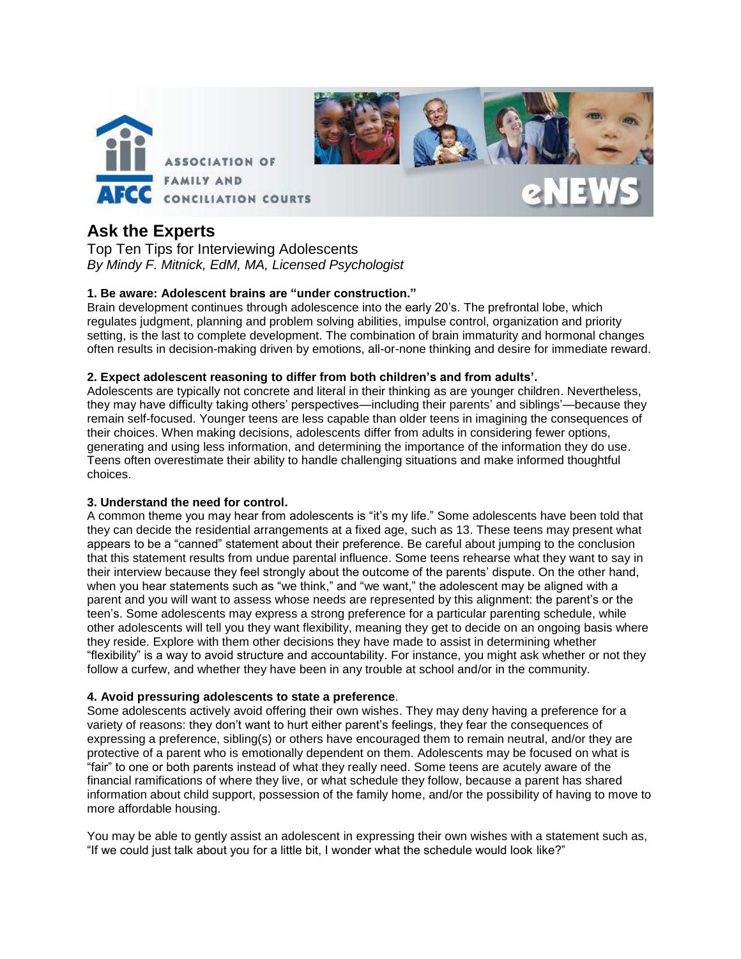

## **Ask the Experts**

Top Ten Tips for Interviewing Adolescents *By Mindy F. Mitnick, EdM, MA, Licensed Psychologist* 

#### **1. Be aware: Adolescent brains are "under construction."**

Brain development continues through adolescence into the early 20's. The prefrontal lobe, which regulates judgment, planning and problem solving abilities, impulse control, organization and priority setting, is the last to complete development. The combination of brain immaturity and hormonal changes often results in decision-making driven by emotions, all-or-none thinking and desire for immediate reward.

#### **2. Expect adolescent reasoning to differ from both children's and from adults'.**

Adolescents are typically not concrete and literal in their thinking as are younger children. Nevertheless, they may have difficulty taking others' perspectives—including their parents' and siblings'—because they remain self-focused. Younger teens are less capable than older teens in imagining the consequences of their choices. When making decisions, adolescents differ from adults in considering fewer options, generating and using less information, and determining the importance of the information they do use. Teens often overestimate their ability to handle challenging situations and make informed thoughtful choices.

#### **3. Understand the need for control.**

A common theme you may hear from adolescents is "it's my life." Some adolescents have been told that they can decide the residential arrangements at a fixed age, such as 13. These teens may present what appears to be a "canned" statement about their preference. Be careful about jumping to the conclusion that this statement results from undue parental influence. Some teens rehearse what they want to say in their interview because they feel strongly about the outcome of the parents' dispute. On the other hand, when you hear statements such as "we think," and "we want," the adolescent may be aligned with a parent and you will want to assess whose needs are represented by this alignment: the parent's or the teen's. Some adolescents may express a strong preference for a particular parenting schedule, while other adolescents will tell you they want flexibility, meaning they get to decide on an ongoing basis where they reside. Explore with them other decisions they have made to assist in determining whether "flexibility" is a way to avoid structure and accountability. For instance, you might ask whether or not they follow a curfew, and whether they have been in any trouble at school and/or in the community.

#### **4. Avoid pressuring adolescents to state a preference**.

Some adolescents actively avoid offering their own wishes. They may deny having a preference for a variety of reasons: they don't want to hurt either parent's feelings, they fear the consequences of expressing a preference, sibling(s) or others have encouraged them to remain neutral, and/or they are protective of a parent who is emotionally dependent on them. Adolescents may be focused on what is "fair" to one or both parents instead of what they really need. Some teens are acutely aware of the financial ramifications of where they live, or what schedule they follow, because a parent has shared information about child support, possession of the family home, and/or the possibility of having to move to more affordable housing.

You may be able to gently assist an adolescent in expressing their own wishes with a statement such as, "If we could just talk about you for a little bit, I wonder what the schedule would look like?"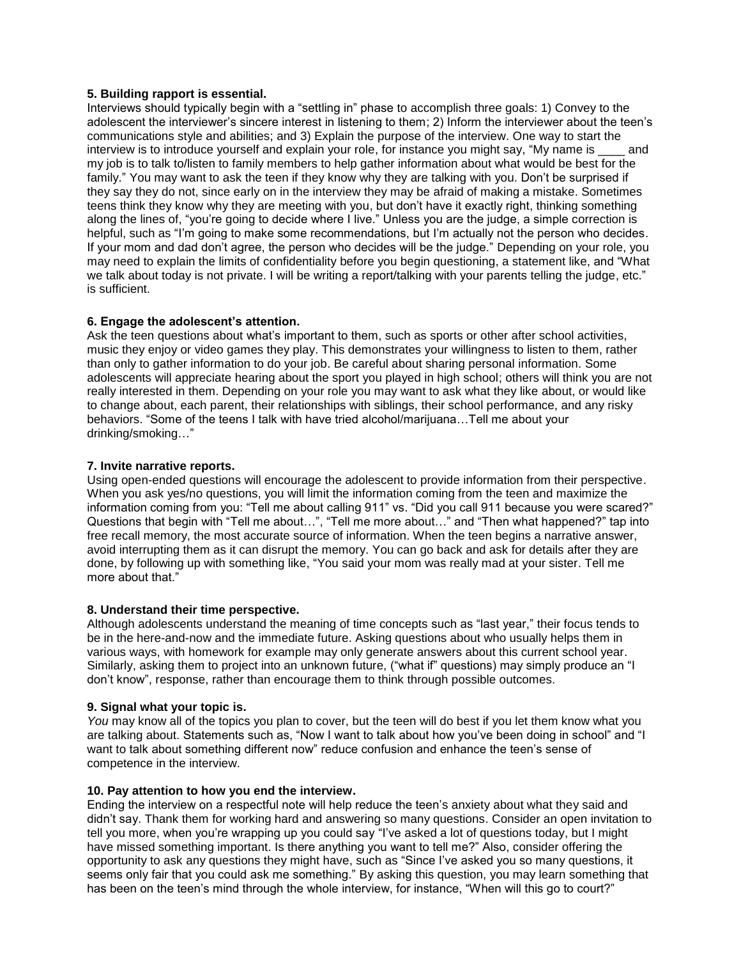#### **5. Building rapport is essential.**

Interviews should typically begin with a "settling in" phase to accomplish three goals: 1) Convey to the adolescent the interviewer's sincere interest in listening to them; 2) Inform the interviewer about the teen's communications style and abilities; and 3) Explain the purpose of the interview. One way to start the interview is to introduce yourself and explain your role, for instance you might say, "My name is eand my job is to talk to/listen to family members to help gather information about what would be best for the family." You may want to ask the teen if they know why they are talking with you. Don't be surprised if they say they do not, since early on in the interview they may be afraid of making a mistake. Sometimes teens think they know why they are meeting with you, but don't have it exactly right, thinking something along the lines of, "you're going to decide where I live." Unless you are the judge, a simple correction is helpful, such as "I'm going to make some recommendations, but I'm actually not the person who decides. If your mom and dad don't agree, the person who decides will be the judge." Depending on your role, you may need to explain the limits of confidentiality before you begin questioning, a statement like, and "What we talk about today is not private. I will be writing a report/talking with your parents telling the judge, etc." is sufficient.

#### **6. Engage the adolescent's attention.**

Ask the teen questions about what's important to them, such as sports or other after school activities, music they enjoy or video games they play. This demonstrates your willingness to listen to them, rather than only to gather information to do your job. Be careful about sharing personal information. Some adolescents will appreciate hearing about the sport you played in high school; others will think you are not really interested in them. Depending on your role you may want to ask what they like about, or would like to change about, each parent, their relationships with siblings, their school performance, and any risky behaviors. "Some of the teens I talk with have tried alcohol/marijuana…Tell me about your drinking/smoking…"

#### **7. Invite narrative reports.**

Using open-ended questions will encourage the adolescent to provide information from their perspective. When you ask yes/no questions, you will limit the information coming from the teen and maximize the information coming from you: "Tell me about calling 911" vs. "Did you call 911 because you were scared?" Questions that begin with "Tell me about…", "Tell me more about…" and "Then what happened?" tap into free recall memory, the most accurate source of information. When the teen begins a narrative answer, avoid interrupting them as it can disrupt the memory. You can go back and ask for details after they are done, by following up with something like, "You said your mom was really mad at your sister. Tell me more about that."

#### **8. Understand their time perspective.**

Although adolescents understand the meaning of time concepts such as "last year," their focus tends to be in the here-and-now and the immediate future. Asking questions about who usually helps them in various ways, with homework for example may only generate answers about this current school year. Similarly, asking them to project into an unknown future, ("what if" questions) may simply produce an "I don't know", response, rather than encourage them to think through possible outcomes.

#### **9. Signal what your topic is.**

*You* may know all of the topics you plan to cover, but the teen will do best if you let them know what you are talking about. Statements such as, "Now I want to talk about how you've been doing in school" and "I want to talk about something different now" reduce confusion and enhance the teen's sense of competence in the interview.

#### **10. Pay attention to how you end the interview.**

Ending the interview on a respectful note will help reduce the teen's anxiety about what they said and didn't say. Thank them for working hard and answering so many questions. Consider an open invitation to tell you more, when you're wrapping up you could say "I've asked a lot of questions today, but I might have missed something important. Is there anything you want to tell me?" Also, consider offering the opportunity to ask any questions they might have, such as "Since I've asked you so many questions, it seems only fair that you could ask me something." By asking this question, you may learn something that has been on the teen's mind through the whole interview, for instance, "When will this go to court?"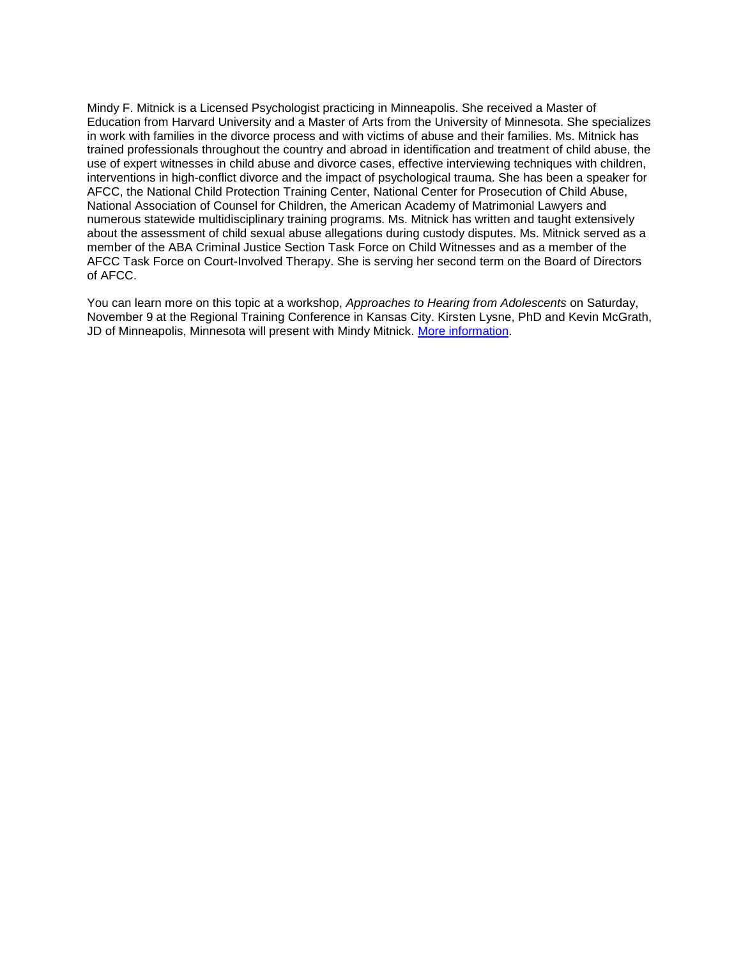Mindy F. Mitnick is a Licensed Psychologist practicing in Minneapolis. She received a Master of Education from Harvard University and a Master of Arts from the University of Minnesota. She specializes in work with families in the divorce process and with victims of abuse and their families. Ms. Mitnick has trained professionals throughout the country and abroad in identification and treatment of child abuse, the use of expert witnesses in child abuse and divorce cases, effective interviewing techniques with children, interventions in high-conflict divorce and the impact of psychological trauma. She has been a speaker for AFCC, the National Child Protection Training Center, National Center for Prosecution of Child Abuse, National Association of Counsel for Children, the American Academy of Matrimonial Lawyers and numerous statewide multidisciplinary training programs. Ms. Mitnick has written and taught extensively about the assessment of child sexual abuse allegations during custody disputes. Ms. Mitnick served as a member of the ABA Criminal Justice Section Task Force on Child Witnesses and as a member of the AFCC Task Force on Court-Involved Therapy. She is serving her second term on the Board of Directors of AFCC.

You can learn more on this topic at a workshop, *Approaches to Hearing from Adolescents* on Saturday, November 9 at the Regional Training Conference in Kansas City. Kirsten Lysne, PhD and Kevin McGrath, JD of Minneapolis, Minnesota will present with Mindy Mitnick. [More information.](http://www.afccnet.org/ConferencesTraining/AFCCConferences/ctl/ViewConference/ConferenceID/46/mid/615)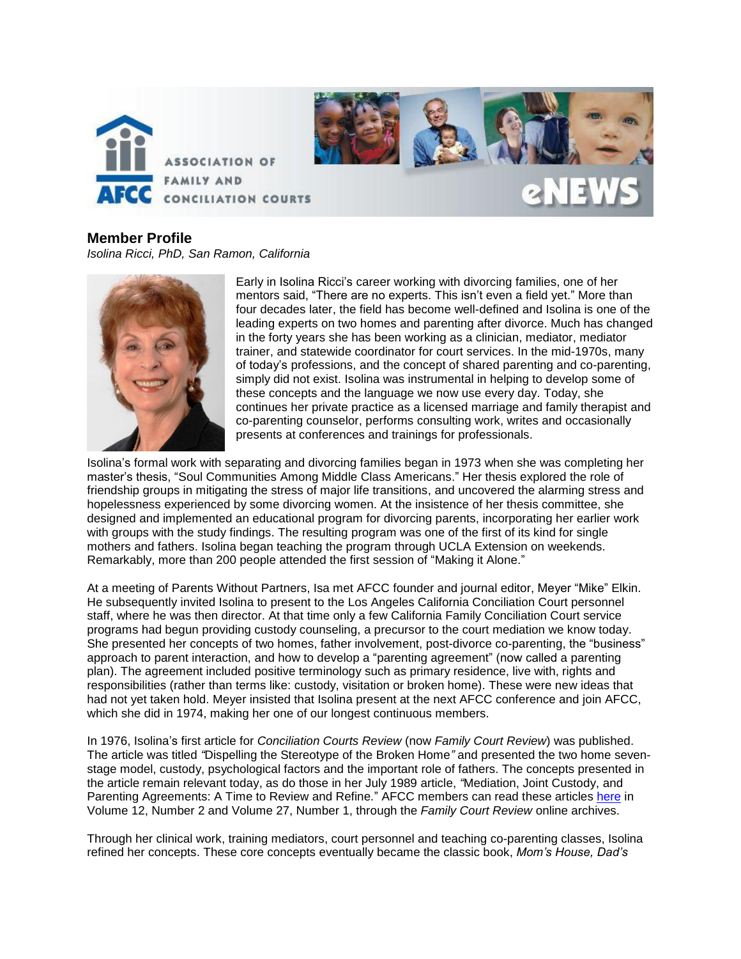

**Member Profile**  *Isolina Ricci, PhD, San Ramon, California*



Early in Isolina Ricci's career working with divorcing families, one of her mentors said, "There are no experts. This isn't even a field yet." More than four decades later, the field has become well-defined and Isolina is one of the leading experts on two homes and parenting after divorce. Much has changed in the forty years she has been working as a clinician, mediator, mediator trainer, and statewide coordinator for court services. In the mid-1970s, many of today's professions, and the concept of shared parenting and co-parenting, simply did not exist. Isolina was instrumental in helping to develop some of these concepts and the language we now use every day. Today, she continues her private practice as a licensed marriage and family therapist and co-parenting counselor, performs consulting work, writes and occasionally presents at conferences and trainings for professionals.

Isolina's formal work with separating and divorcing families began in 1973 when she was completing her master's thesis, "Soul Communities Among Middle Class Americans." Her thesis explored the role of friendship groups in mitigating the stress of major life transitions, and uncovered the alarming stress and hopelessness experienced by some divorcing women. At the insistence of her thesis committee, she designed and implemented an educational program for divorcing parents, incorporating her earlier work with groups with the study findings. The resulting program was one of the first of its kind for single mothers and fathers. Isolina began teaching the program through UCLA Extension on weekends. Remarkably, more than 200 people attended the first session of "Making it Alone."

At a meeting of Parents Without Partners, Isa met AFCC founder and journal editor, Meyer "Mike" Elkin. He subsequently invited Isolina to present to the Los Angeles California Conciliation Court personnel staff, where he was then director. At that time only a few California Family Conciliation Court service programs had begun providing custody counseling, a precursor to the court mediation we know today. She presented her concepts of two homes, father involvement, post-divorce co-parenting, the "business" approach to parent interaction, and how to develop a "parenting agreement" (now called a parenting plan). The agreement included positive terminology such as primary residence, live with, rights and responsibilities (rather than terms like: custody, visitation or broken home). These were new ideas that had not yet taken hold. Meyer insisted that Isolina present at the next AFCC conference and join AFCC, which she did in 1974, making her one of our longest continuous members.

In 1976, Isolina's first article for *Conciliation Courts Review* (now *Family Court Review*) was published. The article was titled *"*Dispelling the Stereotype of the Broken Home*"* and presented the two home sevenstage model, custody, psychological factors and the important role of fathers. The concepts presented in the article remain relevant today, as do those in her July 1989 article, *"*Mediation, Joint Custody, and Parenting Agreements: A Time to Review and Refine*.*" AFCC members can read these articles [here](https://www.afccnet.org/MemberLogin?returnurl=https://www.afccnet.org/FamilyCourtReviewArchives) in Volume 12, Number 2 and Volume 27, Number 1, through the *Family Court Review* online archives.

Through her clinical work, training mediators, court personnel and teaching co-parenting classes, Isolina refined her concepts. These core concepts eventually became the classic book, *Mom's House, Dad's*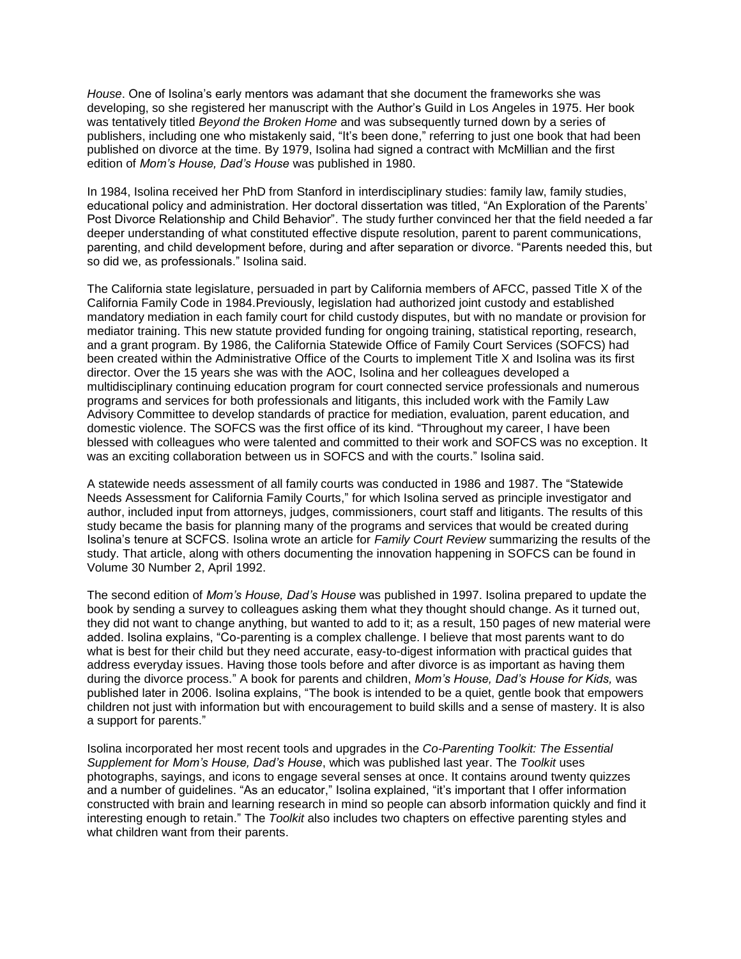*House*. One of Isolina's early mentors was adamant that she document the frameworks she was developing, so she registered her manuscript with the Author's Guild in Los Angeles in 1975. Her book was tentatively titled *Beyond the Broken Home* and was subsequently turned down by a series of publishers, including one who mistakenly said, "It's been done," referring to just one book that had been published on divorce at the time. By 1979, Isolina had signed a contract with McMillian and the first edition of *Mom's House, Dad's House* was published in 1980.

In 1984, Isolina received her PhD from Stanford in interdisciplinary studies: family law, family studies, educational policy and administration. Her doctoral dissertation was titled, "An Exploration of the Parents' Post Divorce Relationship and Child Behavior". The study further convinced her that the field needed a far deeper understanding of what constituted effective dispute resolution, parent to parent communications, parenting, and child development before, during and after separation or divorce. "Parents needed this, but so did we, as professionals." Isolina said.

The California state legislature, persuaded in part by California members of AFCC, passed Title X of the California Family Code in 1984.Previously, legislation had authorized joint custody and established mandatory mediation in each family court for child custody disputes, but with no mandate or provision for mediator training. This new statute provided funding for ongoing training, statistical reporting, research, and a grant program. By 1986, the California Statewide Office of Family Court Services (SOFCS) had been created within the Administrative Office of the Courts to implement Title X and Isolina was its first director. Over the 15 years she was with the AOC, Isolina and her colleagues developed a multidisciplinary continuing education program for court connected service professionals and numerous programs and services for both professionals and litigants, this included work with the Family Law Advisory Committee to develop standards of practice for mediation, evaluation, parent education, and domestic violence. The SOFCS was the first office of its kind. "Throughout my career, I have been blessed with colleagues who were talented and committed to their work and SOFCS was no exception. It was an exciting collaboration between us in SOFCS and with the courts." Isolina said.

A statewide needs assessment of all family courts was conducted in 1986 and 1987. The "Statewide Needs Assessment for California Family Courts," for which Isolina served as principle investigator and author, included input from attorneys, judges, commissioners, court staff and litigants. The results of this study became the basis for planning many of the programs and services that would be created during Isolina's tenure at SCFCS. Isolina wrote an article for *Family Court Review* summarizing the results of the study. That article, along with others documenting the innovation happening in SOFCS can be found in Volume 30 Number 2, April 1992.

The second edition of *Mom's House, Dad's House* was published in 1997. Isolina prepared to update the book by sending a survey to colleagues asking them what they thought should change. As it turned out, they did not want to change anything, but wanted to add to it; as a result, 150 pages of new material were added. Isolina explains, "Co-parenting is a complex challenge. I believe that most parents want to do what is best for their child but they need accurate, easy-to-digest information with practical guides that address everyday issues. Having those tools before and after divorce is as important as having them during the divorce process." A book for parents and children, *Mom's House, Dad's House for Kids,* was published later in 2006. Isolina explains, "The book is intended to be a quiet, gentle book that empowers children not just with information but with encouragement to build skills and a sense of mastery. It is also a support for parents."

Isolina incorporated her most recent tools and upgrades in the *Co-Parenting Toolkit: The Essential Supplement for Mom's House, Dad's House*, which was published last year. The *Toolkit* uses photographs, sayings, and icons to engage several senses at once. It contains around twenty quizzes and a number of guidelines. "As an educator," Isolina explained, "it's important that I offer information constructed with brain and learning research in mind so people can absorb information quickly and find it interesting enough to retain." The *Toolkit* also includes two chapters on effective parenting styles and what children want from their parents.